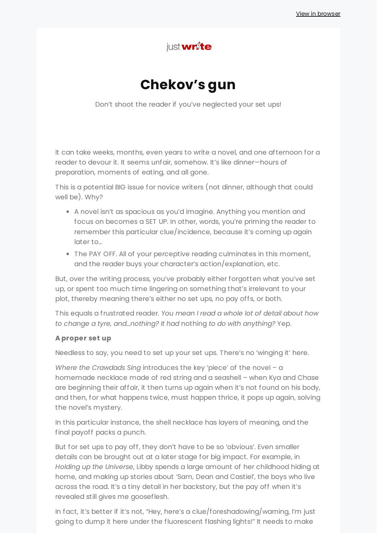

# **Chekov's gun**

Don't shoot the reader if you've neglected your set ups!

It can take weeks, months, even years to write a novel, and one afternoon for a reader to devour it. It seems unfair, somehow. It's like dinner—hours of preparation, moments of eating, and all gone.

This is a potential BIG issue for novice writers (not dinner, although that could well be). Why?

- A novel isn't as spacious as you'd imagine. Anything you mention and focus on becomes a SET UP. In other, words, you're priming the reader to remember this particular clue/incidence, because it's coming up again later to…
- The PAY OFF. All of your perceptive reading culminates in this moment, and the reader buys your character's action/explanation, etc.

But, over the writing process, you've probably either forgotten what you've set up, or spent too much time lingering on something that's irrelevant to your plot, thereby meaning there's either no set ups, no pay offs, or both.

This equals a frustrated reader. *You mean I read a whole lot of detail about how to change a tyre, and…nothing? It had* nothing *to do with anything?* Yep.

#### **A proper set up**

Needless to say, you need to set up your set ups. There's no 'winging it' here.

*Where the Crawdads Sing* introduces the key 'piece' of the novel – a homemade necklace made of red string and a seashell – when Kya and Chase are beginning their affair, it then turns up again when it's not found on his body, and then, for what happens twice, must happen thrice, it pops up again, solving the novel's mystery.

In this particular instance, the shell necklace has layers of meaning, and the final payoff packs a punch.

But for set ups to pay off, they don't have to be so 'obvious'. Even smaller details can be brought out at a later stage for big impact. For example, in *Holding up the Universe*, Libby spends a large amount of her childhood hiding at home, and making up stories about 'Sam, Dean and Castiel', the boys who live across the road. It's a tiny detail in her backstory, but the pay off when it's revealed still gives me gooseflesh.

In fact, it's better if it's not, "Hey, here's a clue/foreshadowing/warning, I'm just going to dump it here under the fluorescent flashing lights!" It needs to make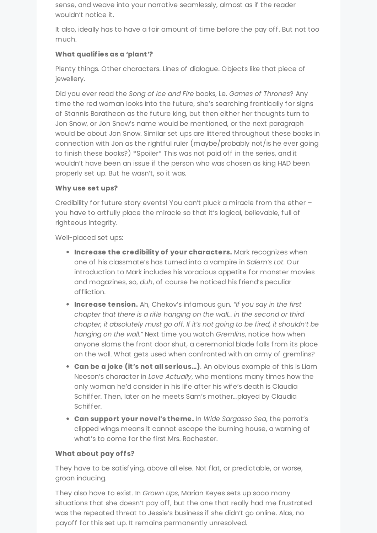sense, and weave into your narrative seamlessly, almost as if the reader wouldn't notice it.

It also, ideally has to have a fair amount of time before the pay off. But not too much.

## **What qualifies as a 'plant'?**

Plenty things. Other characters. Lines of dialogue. Objects like that piece of jewellery.

Did you ever read the *Song of Ice and Fire* books, i.e. *Games of Thrones*? Any time the red woman looks into the future, she's searching frantically for signs of Stannis Baratheon as the future king, but then either her thoughts turn to Jon Snow, or Jon Snow's name would be mentioned, or the next paragraph would be about Jon Snow. Similar set ups are littered throughout these books in connection with Jon as the rightful ruler (maybe/probably not/is he ever going to finish these books?) \*Spoiler\* This was not paid off in the series, and it wouldn't have been an issue if the person who was chosen as king HAD been properly set up. But he wasn't, so it was.

### **Why use set ups?**

Credibility for future story events! You can't pluck a miracle from the ether – you have to artfully place the miracle so that it's logical, believable, full of righteous integrity.

Well-placed set ups:

- **Increase the credibility of your characters.** Mark recognizes when one of his classmate's has turned into a vampire in *Salem's Lot*. Our introduction to Mark includes his voracious appetite for monster movies and magazines, so, *duh*, of course he noticed his friend's peculiar affliction.
- **Increase tension.** Ah, Chekov's infamous gun*. "If you say in the first chapter that there is a rifle hanging on the wall… in the second or third chapter, it absolutely must go off. If it's not going to be fired, it shouldn't be hanging on the wall."* Next time you watch *Gremlins*, notice how when anyone slams the front door shut, a ceremonial blade falls from its place on the wall. What gets used when confronted with an army of gremlins?
- **Can be a joke (it's not all serious…)**. An obvious example of this is Liam Neeson's character in *Love Actually*, who mentions many times how the only woman he'd consider in his life after his wife's death is Claudia Schiffer. Then, later on he meets Sam's mother…played by Claudia Schiffer.
- **Can support your novel's theme.** In *Wide Sargasso Sea*, the parrot's clipped wings means it cannot escape the burning house, a warning of what's to come for the first Mrs. Rochester.

## **What about pay off s?**

They have to be satisfying, above all else. Not flat, or predictable, or worse, groan inducing.

They also have to exist. In *Grown Ups*, Marian Keyes sets up sooo many situations that she doesn't pay off, but the one that really had me frustrated was the repeated threat to Jessie's business if she didn't go online. Alas, no payoff for this set up. It remains permanently unresolved.